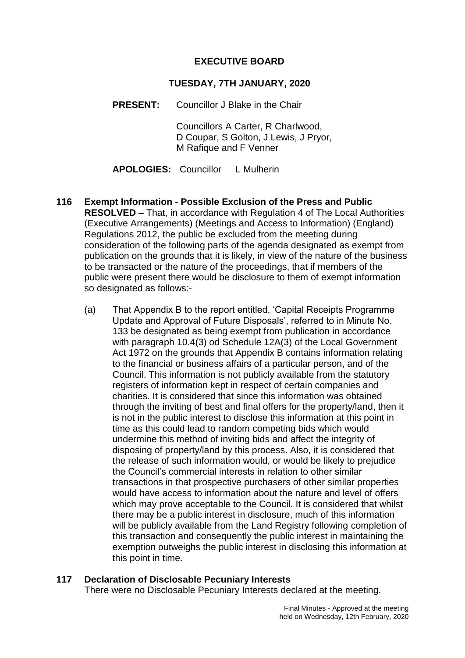# **EXECUTIVE BOARD**

#### **TUESDAY, 7TH JANUARY, 2020**

**PRESENT:** Councillor J Blake in the Chair

Councillors A Carter, R Charlwood, D Coupar, S Golton, J Lewis, J Pryor, M Rafique and F Venner

**APOLOGIES:** Councillor L Mulherin

- **116 Exempt Information - Possible Exclusion of the Press and Public RESOLVED –** That, in accordance with Regulation 4 of The Local Authorities (Executive Arrangements) (Meetings and Access to Information) (England) Regulations 2012, the public be excluded from the meeting during consideration of the following parts of the agenda designated as exempt from publication on the grounds that it is likely, in view of the nature of the business to be transacted or the nature of the proceedings, that if members of the public were present there would be disclosure to them of exempt information so designated as follows:-
	- (a) That Appendix B to the report entitled, 'Capital Receipts Programme Update and Approval of Future Disposals', referred to in Minute No. 133 be designated as being exempt from publication in accordance with paragraph 10.4(3) od Schedule 12A(3) of the Local Government Act 1972 on the grounds that Appendix B contains information relating to the financial or business affairs of a particular person, and of the Council. This information is not publicly available from the statutory registers of information kept in respect of certain companies and charities. It is considered that since this information was obtained through the inviting of best and final offers for the property/land, then it is not in the public interest to disclose this information at this point in time as this could lead to random competing bids which would undermine this method of inviting bids and affect the integrity of disposing of property/land by this process. Also, it is considered that the release of such information would, or would be likely to prejudice the Council's commercial interests in relation to other similar transactions in that prospective purchasers of other similar properties would have access to information about the nature and level of offers which may prove acceptable to the Council. It is considered that whilst there may be a public interest in disclosure, much of this information will be publicly available from the Land Registry following completion of this transaction and consequently the public interest in maintaining the exemption outweighs the public interest in disclosing this information at this point in time.

# **117 Declaration of Disclosable Pecuniary Interests**

There were no Disclosable Pecuniary Interests declared at the meeting.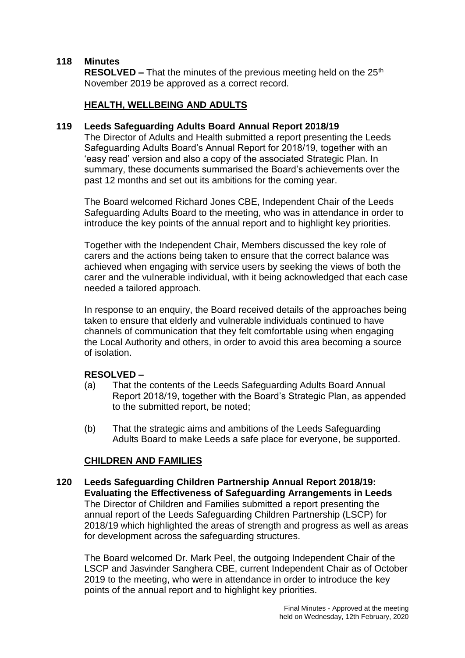# **118 Minutes**

**RESOLVED –** That the minutes of the previous meeting held on the 25<sup>th</sup> November 2019 be approved as a correct record.

# **HEALTH, WELLBEING AND ADULTS**

#### **119 Leeds Safeguarding Adults Board Annual Report 2018/19**

The Director of Adults and Health submitted a report presenting the Leeds Safeguarding Adults Board's Annual Report for 2018/19, together with an 'easy read' version and also a copy of the associated Strategic Plan. In summary, these documents summarised the Board's achievements over the past 12 months and set out its ambitions for the coming year.

The Board welcomed Richard Jones CBE, Independent Chair of the Leeds Safeguarding Adults Board to the meeting, who was in attendance in order to introduce the key points of the annual report and to highlight key priorities.

Together with the Independent Chair, Members discussed the key role of carers and the actions being taken to ensure that the correct balance was achieved when engaging with service users by seeking the views of both the carer and the vulnerable individual, with it being acknowledged that each case needed a tailored approach.

In response to an enquiry, the Board received details of the approaches being taken to ensure that elderly and vulnerable individuals continued to have channels of communication that they felt comfortable using when engaging the Local Authority and others, in order to avoid this area becoming a source of isolation.

# **RESOLVED –**

- (a) That the contents of the Leeds Safeguarding Adults Board Annual Report 2018/19, together with the Board's Strategic Plan, as appended to the submitted report, be noted;
- (b) That the strategic aims and ambitions of the Leeds Safeguarding Adults Board to make Leeds a safe place for everyone, be supported.

# **CHILDREN AND FAMILIES**

**120 Leeds Safeguarding Children Partnership Annual Report 2018/19: Evaluating the Effectiveness of Safeguarding Arrangements in Leeds** The Director of Children and Families submitted a report presenting the annual report of the Leeds Safeguarding Children Partnership (LSCP) for 2018/19 which highlighted the areas of strength and progress as well as areas for development across the safeguarding structures.

The Board welcomed Dr. Mark Peel, the outgoing Independent Chair of the LSCP and Jasvinder Sanghera CBE, current Independent Chair as of October 2019 to the meeting, who were in attendance in order to introduce the key points of the annual report and to highlight key priorities.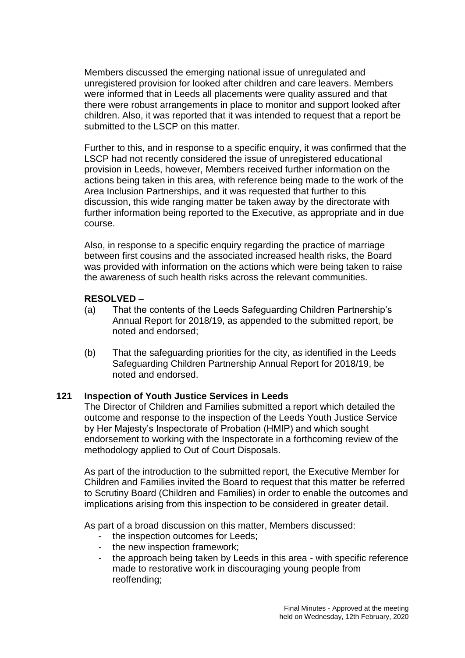Members discussed the emerging national issue of unregulated and unregistered provision for looked after children and care leavers. Members were informed that in Leeds all placements were quality assured and that there were robust arrangements in place to monitor and support looked after children. Also, it was reported that it was intended to request that a report be submitted to the LSCP on this matter.

Further to this, and in response to a specific enquiry, it was confirmed that the LSCP had not recently considered the issue of unregistered educational provision in Leeds, however, Members received further information on the actions being taken in this area, with reference being made to the work of the Area Inclusion Partnerships, and it was requested that further to this discussion, this wide ranging matter be taken away by the directorate with further information being reported to the Executive, as appropriate and in due course.

Also, in response to a specific enquiry regarding the practice of marriage between first cousins and the associated increased health risks, the Board was provided with information on the actions which were being taken to raise the awareness of such health risks across the relevant communities.

# **RESOLVED –**

- (a) That the contents of the Leeds Safeguarding Children Partnership's Annual Report for 2018/19, as appended to the submitted report, be noted and endorsed;
- (b) That the safeguarding priorities for the city, as identified in the Leeds Safeguarding Children Partnership Annual Report for 2018/19, be noted and endorsed.

# **121 Inspection of Youth Justice Services in Leeds**

The Director of Children and Families submitted a report which detailed the outcome and response to the inspection of the Leeds Youth Justice Service by Her Majesty's Inspectorate of Probation (HMIP) and which sought endorsement to working with the Inspectorate in a forthcoming review of the methodology applied to Out of Court Disposals.

As part of the introduction to the submitted report, the Executive Member for Children and Families invited the Board to request that this matter be referred to Scrutiny Board (Children and Families) in order to enable the outcomes and implications arising from this inspection to be considered in greater detail.

As part of a broad discussion on this matter, Members discussed:

- the inspection outcomes for Leeds;
- the new inspection framework;
- the approach being taken by Leeds in this area with specific reference made to restorative work in discouraging young people from reoffending;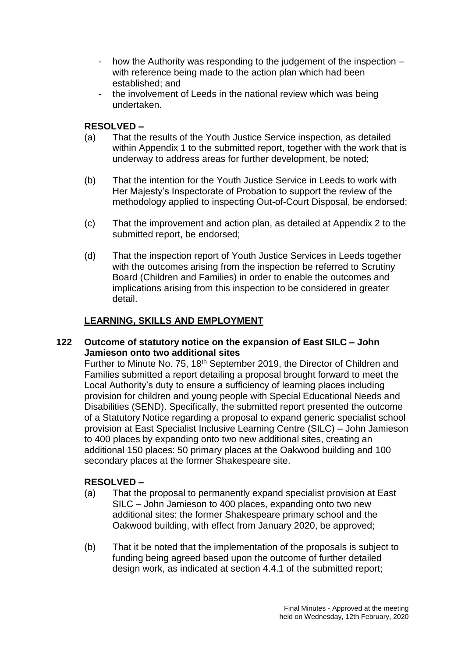- how the Authority was responding to the judgement of the inspection with reference being made to the action plan which had been established; and
- the involvement of Leeds in the national review which was being undertaken.

# **RESOLVED –**

- (a) That the results of the Youth Justice Service inspection, as detailed within Appendix 1 to the submitted report, together with the work that is underway to address areas for further development, be noted;
- (b) That the intention for the Youth Justice Service in Leeds to work with Her Majesty's Inspectorate of Probation to support the review of the methodology applied to inspecting Out-of-Court Disposal, be endorsed;
- (c) That the improvement and action plan, as detailed at Appendix 2 to the submitted report, be endorsed;
- (d) That the inspection report of Youth Justice Services in Leeds together with the outcomes arising from the inspection be referred to Scrutiny Board (Children and Families) in order to enable the outcomes and implications arising from this inspection to be considered in greater detail.

# **LEARNING, SKILLS AND EMPLOYMENT**

# **122 Outcome of statutory notice on the expansion of East SILC – John Jamieson onto two additional sites**

Further to Minute No. 75, 18<sup>th</sup> September 2019, the Director of Children and Families submitted a report detailing a proposal brought forward to meet the Local Authority's duty to ensure a sufficiency of learning places including provision for children and young people with Special Educational Needs and Disabilities (SEND). Specifically, the submitted report presented the outcome of a Statutory Notice regarding a proposal to expand generic specialist school provision at East Specialist Inclusive Learning Centre (SILC) – John Jamieson to 400 places by expanding onto two new additional sites, creating an additional 150 places: 50 primary places at the Oakwood building and 100 secondary places at the former Shakespeare site.

- (a) That the proposal to permanently expand specialist provision at East SILC – John Jamieson to 400 places, expanding onto two new additional sites: the former Shakespeare primary school and the Oakwood building, with effect from January 2020, be approved;
- (b) That it be noted that the implementation of the proposals is subject to funding being agreed based upon the outcome of further detailed design work, as indicated at section 4.4.1 of the submitted report;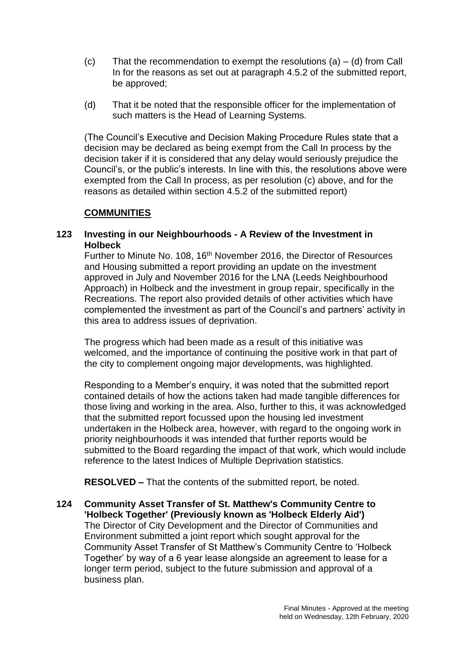- (c) That the recommendation to exempt the resolutions  $(a) (d)$  from Call In for the reasons as set out at paragraph 4.5.2 of the submitted report, be approved;
- (d) That it be noted that the responsible officer for the implementation of such matters is the Head of Learning Systems.

(The Council's Executive and Decision Making Procedure Rules state that a decision may be declared as being exempt from the Call In process by the decision taker if it is considered that any delay would seriously prejudice the Council's, or the public's interests. In line with this, the resolutions above were exempted from the Call In process, as per resolution (c) above, and for the reasons as detailed within section 4.5.2 of the submitted report)

# **COMMUNITIES**

# **123 Investing in our Neighbourhoods - A Review of the Investment in Holbeck**

Further to Minute No. 108, 16th November 2016, the Director of Resources and Housing submitted a report providing an update on the investment approved in July and November 2016 for the LNA (Leeds Neighbourhood Approach) in Holbeck and the investment in group repair, specifically in the Recreations. The report also provided details of other activities which have complemented the investment as part of the Council's and partners' activity in this area to address issues of deprivation.

The progress which had been made as a result of this initiative was welcomed, and the importance of continuing the positive work in that part of the city to complement ongoing major developments, was highlighted.

Responding to a Member's enquiry, it was noted that the submitted report contained details of how the actions taken had made tangible differences for those living and working in the area. Also, further to this, it was acknowledged that the submitted report focussed upon the housing led investment undertaken in the Holbeck area, however, with regard to the ongoing work in priority neighbourhoods it was intended that further reports would be submitted to the Board regarding the impact of that work, which would include reference to the latest Indices of Multiple Deprivation statistics.

**RESOLVED –** That the contents of the submitted report, be noted.

**124 Community Asset Transfer of St. Matthew's Community Centre to 'Holbeck Together' (Previously known as 'Holbeck Elderly Aid')** The Director of City Development and the Director of Communities and Environment submitted a joint report which sought approval for the Community Asset Transfer of St Matthew's Community Centre to 'Holbeck Together' by way of a 6 year lease alongside an agreement to lease for a longer term period, subject to the future submission and approval of a business plan.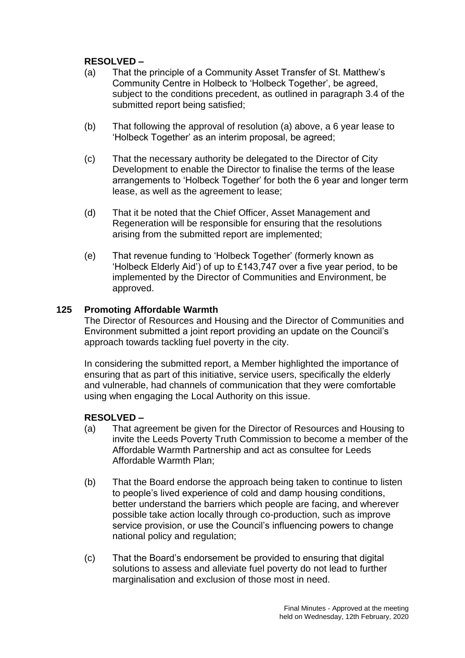# **RESOLVED –**

- (a) That the principle of a Community Asset Transfer of St. Matthew's Community Centre in Holbeck to 'Holbeck Together', be agreed, subject to the conditions precedent, as outlined in paragraph 3.4 of the submitted report being satisfied;
- (b) That following the approval of resolution (a) above, a 6 year lease to 'Holbeck Together' as an interim proposal, be agreed;
- (c) That the necessary authority be delegated to the Director of City Development to enable the Director to finalise the terms of the lease arrangements to 'Holbeck Together' for both the 6 year and longer term lease, as well as the agreement to lease;
- (d) That it be noted that the Chief Officer, Asset Management and Regeneration will be responsible for ensuring that the resolutions arising from the submitted report are implemented;
- (e) That revenue funding to 'Holbeck Together' (formerly known as 'Holbeck Elderly Aid') of up to £143,747 over a five year period, to be implemented by the Director of Communities and Environment, be approved.

# **125 Promoting Affordable Warmth**

The Director of Resources and Housing and the Director of Communities and Environment submitted a joint report providing an update on the Council's approach towards tackling fuel poverty in the city.

In considering the submitted report, a Member highlighted the importance of ensuring that as part of this initiative, service users, specifically the elderly and vulnerable, had channels of communication that they were comfortable using when engaging the Local Authority on this issue.

- (a) That agreement be given for the Director of Resources and Housing to invite the Leeds Poverty Truth Commission to become a member of the Affordable Warmth Partnership and act as consultee for Leeds Affordable Warmth Plan;
- (b) That the Board endorse the approach being taken to continue to listen to people's lived experience of cold and damp housing conditions, better understand the barriers which people are facing, and wherever possible take action locally through co-production, such as improve service provision, or use the Council's influencing powers to change national policy and regulation;
- (c) That the Board's endorsement be provided to ensuring that digital solutions to assess and alleviate fuel poverty do not lead to further marginalisation and exclusion of those most in need.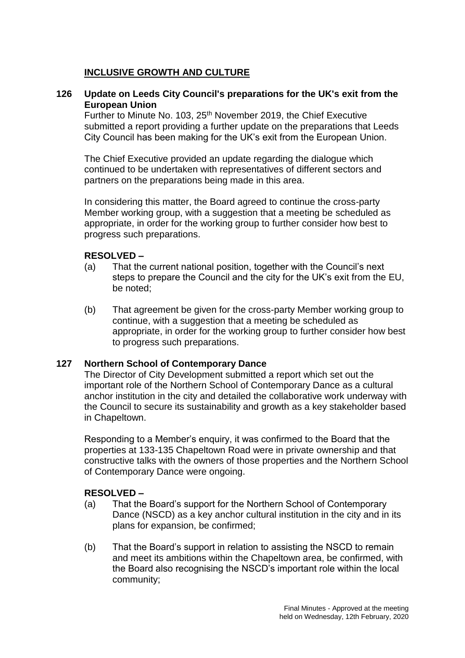# **INCLUSIVE GROWTH AND CULTURE**

#### **126 Update on Leeds City Council's preparations for the UK's exit from the European Union**

Further to Minute No. 103, 25<sup>th</sup> November 2019, the Chief Executive submitted a report providing a further update on the preparations that Leeds City Council has been making for the UK's exit from the European Union.

The Chief Executive provided an update regarding the dialogue which continued to be undertaken with representatives of different sectors and partners on the preparations being made in this area.

In considering this matter, the Board agreed to continue the cross-party Member working group, with a suggestion that a meeting be scheduled as appropriate, in order for the working group to further consider how best to progress such preparations.

#### **RESOLVED –**

- (a) That the current national position, together with the Council's next steps to prepare the Council and the city for the UK's exit from the EU, be noted;
- (b) That agreement be given for the cross-party Member working group to continue, with a suggestion that a meeting be scheduled as appropriate, in order for the working group to further consider how best to progress such preparations.

# **127 Northern School of Contemporary Dance**

The Director of City Development submitted a report which set out the important role of the Northern School of Contemporary Dance as a cultural anchor institution in the city and detailed the collaborative work underway with the Council to secure its sustainability and growth as a key stakeholder based in Chapeltown.

Responding to a Member's enquiry, it was confirmed to the Board that the properties at 133-135 Chapeltown Road were in private ownership and that constructive talks with the owners of those properties and the Northern School of Contemporary Dance were ongoing.

- (a) That the Board's support for the Northern School of Contemporary Dance (NSCD) as a key anchor cultural institution in the city and in its plans for expansion, be confirmed;
- (b) That the Board's support in relation to assisting the NSCD to remain and meet its ambitions within the Chapeltown area, be confirmed, with the Board also recognising the NSCD's important role within the local community;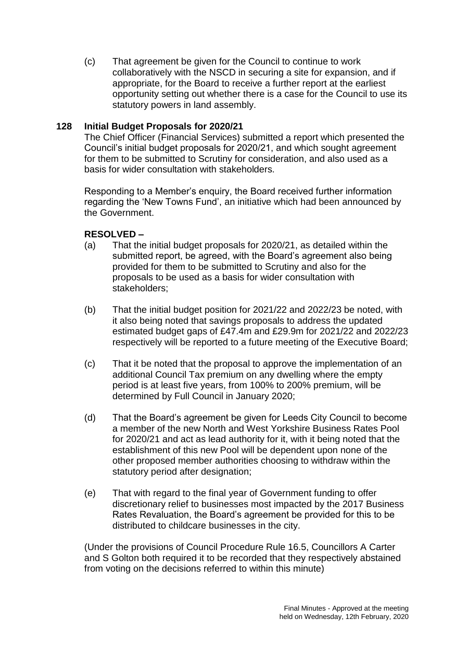(c) That agreement be given for the Council to continue to work collaboratively with the NSCD in securing a site for expansion, and if appropriate, for the Board to receive a further report at the earliest opportunity setting out whether there is a case for the Council to use its statutory powers in land assembly.

# **128 Initial Budget Proposals for 2020/21**

The Chief Officer (Financial Services) submitted a report which presented the Council's initial budget proposals for 2020/21, and which sought agreement for them to be submitted to Scrutiny for consideration, and also used as a basis for wider consultation with stakeholders.

Responding to a Member's enquiry, the Board received further information regarding the 'New Towns Fund', an initiative which had been announced by the Government.

# **RESOLVED –**

- (a) That the initial budget proposals for 2020/21, as detailed within the submitted report, be agreed, with the Board's agreement also being provided for them to be submitted to Scrutiny and also for the proposals to be used as a basis for wider consultation with stakeholders;
- (b) That the initial budget position for 2021/22 and 2022/23 be noted, with it also being noted that savings proposals to address the updated estimated budget gaps of £47.4m and £29.9m for 2021/22 and 2022/23 respectively will be reported to a future meeting of the Executive Board;
- (c) That it be noted that the proposal to approve the implementation of an additional Council Tax premium on any dwelling where the empty period is at least five years, from 100% to 200% premium, will be determined by Full Council in January 2020;
- (d) That the Board's agreement be given for Leeds City Council to become a member of the new North and West Yorkshire Business Rates Pool for 2020/21 and act as lead authority for it, with it being noted that the establishment of this new Pool will be dependent upon none of the other proposed member authorities choosing to withdraw within the statutory period after designation;
- (e) That with regard to the final year of Government funding to offer discretionary relief to businesses most impacted by the 2017 Business Rates Revaluation, the Board's agreement be provided for this to be distributed to childcare businesses in the city.

(Under the provisions of Council Procedure Rule 16.5, Councillors A Carter and S Golton both required it to be recorded that they respectively abstained from voting on the decisions referred to within this minute)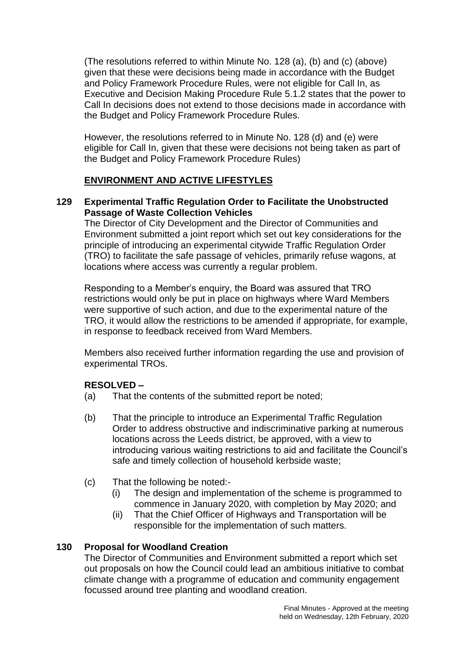(The resolutions referred to within Minute No. 128 (a), (b) and (c) (above) given that these were decisions being made in accordance with the Budget and Policy Framework Procedure Rules, were not eligible for Call In, as Executive and Decision Making Procedure Rule 5.1.2 states that the power to Call In decisions does not extend to those decisions made in accordance with the Budget and Policy Framework Procedure Rules.

However, the resolutions referred to in Minute No. 128 (d) and (e) were eligible for Call In, given that these were decisions not being taken as part of the Budget and Policy Framework Procedure Rules)

# **ENVIRONMENT AND ACTIVE LIFESTYLES**

# **129 Experimental Traffic Regulation Order to Facilitate the Unobstructed Passage of Waste Collection Vehicles**

The Director of City Development and the Director of Communities and Environment submitted a joint report which set out key considerations for the principle of introducing an experimental citywide Traffic Regulation Order (TRO) to facilitate the safe passage of vehicles, primarily refuse wagons, at locations where access was currently a regular problem.

Responding to a Member's enquiry, the Board was assured that TRO restrictions would only be put in place on highways where Ward Members were supportive of such action, and due to the experimental nature of the TRO, it would allow the restrictions to be amended if appropriate, for example, in response to feedback received from Ward Members.

Members also received further information regarding the use and provision of experimental TROs.

# **RESOLVED –**

- (a) That the contents of the submitted report be noted;
- (b) That the principle to introduce an Experimental Traffic Regulation Order to address obstructive and indiscriminative parking at numerous locations across the Leeds district, be approved, with a view to introducing various waiting restrictions to aid and facilitate the Council's safe and timely collection of household kerbside waste;
- (c) That the following be noted:-
	- (i) The design and implementation of the scheme is programmed to commence in January 2020, with completion by May 2020; and
	- (ii) That the Chief Officer of Highways and Transportation will be responsible for the implementation of such matters.

# **130 Proposal for Woodland Creation**

The Director of Communities and Environment submitted a report which set out proposals on how the Council could lead an ambitious initiative to combat climate change with a programme of education and community engagement focussed around tree planting and woodland creation.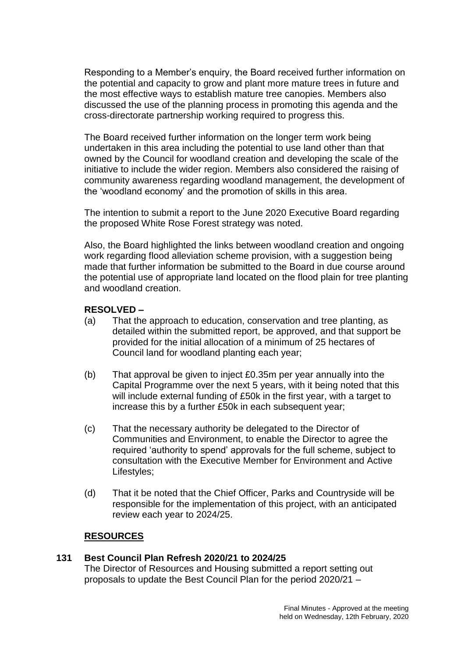Responding to a Member's enquiry, the Board received further information on the potential and capacity to grow and plant more mature trees in future and the most effective ways to establish mature tree canopies. Members also discussed the use of the planning process in promoting this agenda and the cross-directorate partnership working required to progress this.

The Board received further information on the longer term work being undertaken in this area including the potential to use land other than that owned by the Council for woodland creation and developing the scale of the initiative to include the wider region. Members also considered the raising of community awareness regarding woodland management, the development of the 'woodland economy' and the promotion of skills in this area.

The intention to submit a report to the June 2020 Executive Board regarding the proposed White Rose Forest strategy was noted.

Also, the Board highlighted the links between woodland creation and ongoing work regarding flood alleviation scheme provision, with a suggestion being made that further information be submitted to the Board in due course around the potential use of appropriate land located on the flood plain for tree planting and woodland creation.

# **RESOLVED –**

- (a) That the approach to education, conservation and tree planting, as detailed within the submitted report, be approved, and that support be provided for the initial allocation of a minimum of 25 hectares of Council land for woodland planting each year;
- (b) That approval be given to inject £0.35m per year annually into the Capital Programme over the next 5 years, with it being noted that this will include external funding of £50k in the first year, with a target to increase this by a further £50k in each subsequent year;
- (c) That the necessary authority be delegated to the Director of Communities and Environment, to enable the Director to agree the required 'authority to spend' approvals for the full scheme, subject to consultation with the Executive Member for Environment and Active Lifestyles;
- (d) That it be noted that the Chief Officer, Parks and Countryside will be responsible for the implementation of this project, with an anticipated review each year to 2024/25.

# **RESOURCES**

#### **131 Best Council Plan Refresh 2020/21 to 2024/25** The Director of Resources and Housing submitted a report setting out proposals to update the Best Council Plan for the period 2020/21 –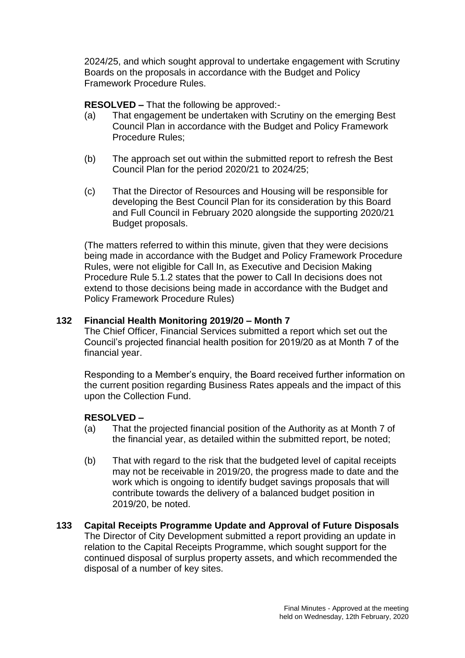2024/25, and which sought approval to undertake engagement with Scrutiny Boards on the proposals in accordance with the Budget and Policy Framework Procedure Rules.

**RESOLVED –** That the following be approved:-

- (a) That engagement be undertaken with Scrutiny on the emerging Best Council Plan in accordance with the Budget and Policy Framework Procedure Rules;
- (b) The approach set out within the submitted report to refresh the Best Council Plan for the period 2020/21 to 2024/25;
- (c) That the Director of Resources and Housing will be responsible for developing the Best Council Plan for its consideration by this Board and Full Council in February 2020 alongside the supporting 2020/21 Budget proposals.

(The matters referred to within this minute, given that they were decisions being made in accordance with the Budget and Policy Framework Procedure Rules, were not eligible for Call In, as Executive and Decision Making Procedure Rule 5.1.2 states that the power to Call In decisions does not extend to those decisions being made in accordance with the Budget and Policy Framework Procedure Rules)

# **132 Financial Health Monitoring 2019/20 – Month 7**

The Chief Officer, Financial Services submitted a report which set out the Council's projected financial health position for 2019/20 as at Month 7 of the financial year.

Responding to a Member's enquiry, the Board received further information on the current position regarding Business Rates appeals and the impact of this upon the Collection Fund.

- (a) That the projected financial position of the Authority as at Month 7 of the financial year, as detailed within the submitted report, be noted;
- (b) That with regard to the risk that the budgeted level of capital receipts may not be receivable in 2019/20, the progress made to date and the work which is ongoing to identify budget savings proposals that will contribute towards the delivery of a balanced budget position in 2019/20, be noted.
- **133 Capital Receipts Programme Update and Approval of Future Disposals** The Director of City Development submitted a report providing an update in relation to the Capital Receipts Programme, which sought support for the continued disposal of surplus property assets, and which recommended the disposal of a number of key sites.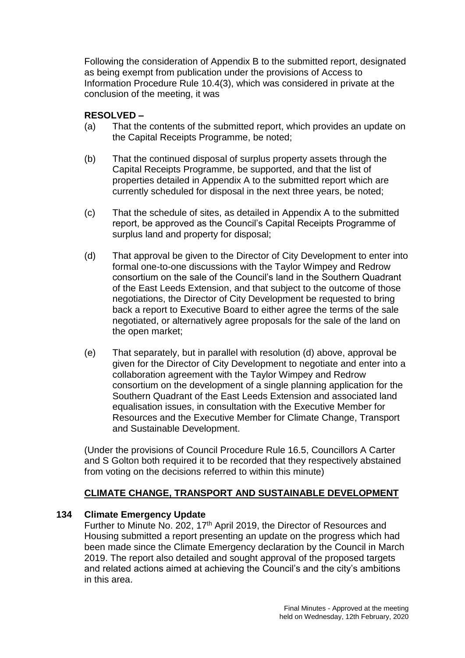Following the consideration of Appendix B to the submitted report, designated as being exempt from publication under the provisions of Access to Information Procedure Rule 10.4(3), which was considered in private at the conclusion of the meeting, it was

# **RESOLVED –**

- (a) That the contents of the submitted report, which provides an update on the Capital Receipts Programme, be noted;
- (b) That the continued disposal of surplus property assets through the Capital Receipts Programme, be supported, and that the list of properties detailed in Appendix A to the submitted report which are currently scheduled for disposal in the next three years, be noted;
- (c) That the schedule of sites, as detailed in Appendix A to the submitted report, be approved as the Council's Capital Receipts Programme of surplus land and property for disposal;
- (d) That approval be given to the Director of City Development to enter into formal one-to-one discussions with the Taylor Wimpey and Redrow consortium on the sale of the Council's land in the Southern Quadrant of the East Leeds Extension, and that subject to the outcome of those negotiations, the Director of City Development be requested to bring back a report to Executive Board to either agree the terms of the sale negotiated, or alternatively agree proposals for the sale of the land on the open market;
- (e) That separately, but in parallel with resolution (d) above, approval be given for the Director of City Development to negotiate and enter into a collaboration agreement with the Taylor Wimpey and Redrow consortium on the development of a single planning application for the Southern Quadrant of the East Leeds Extension and associated land equalisation issues, in consultation with the Executive Member for Resources and the Executive Member for Climate Change, Transport and Sustainable Development.

(Under the provisions of Council Procedure Rule 16.5, Councillors A Carter and S Golton both required it to be recorded that they respectively abstained from voting on the decisions referred to within this minute)

# **CLIMATE CHANGE, TRANSPORT AND SUSTAINABLE DEVELOPMENT**

# **134 Climate Emergency Update**

Further to Minute No. 202, 17<sup>th</sup> April 2019, the Director of Resources and Housing submitted a report presenting an update on the progress which had been made since the Climate Emergency declaration by the Council in March 2019. The report also detailed and sought approval of the proposed targets and related actions aimed at achieving the Council's and the city's ambitions in this area.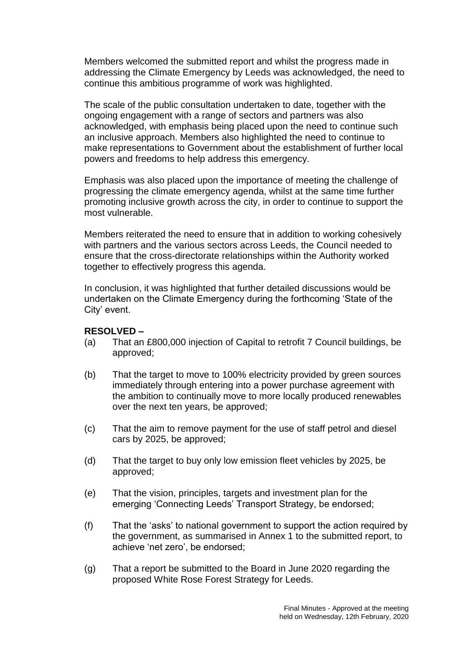Members welcomed the submitted report and whilst the progress made in addressing the Climate Emergency by Leeds was acknowledged, the need to continue this ambitious programme of work was highlighted.

The scale of the public consultation undertaken to date, together with the ongoing engagement with a range of sectors and partners was also acknowledged, with emphasis being placed upon the need to continue such an inclusive approach. Members also highlighted the need to continue to make representations to Government about the establishment of further local powers and freedoms to help address this emergency.

Emphasis was also placed upon the importance of meeting the challenge of progressing the climate emergency agenda, whilst at the same time further promoting inclusive growth across the city, in order to continue to support the most vulnerable.

Members reiterated the need to ensure that in addition to working cohesively with partners and the various sectors across Leeds, the Council needed to ensure that the cross-directorate relationships within the Authority worked together to effectively progress this agenda.

In conclusion, it was highlighted that further detailed discussions would be undertaken on the Climate Emergency during the forthcoming 'State of the City' event.

- (a) That an £800,000 injection of Capital to retrofit 7 Council buildings, be approved;
- (b) That the target to move to 100% electricity provided by green sources immediately through entering into a power purchase agreement with the ambition to continually move to more locally produced renewables over the next ten years, be approved;
- (c) That the aim to remove payment for the use of staff petrol and diesel cars by 2025, be approved;
- (d) That the target to buy only low emission fleet vehicles by 2025, be approved;
- (e) That the vision, principles, targets and investment plan for the emerging 'Connecting Leeds' Transport Strategy, be endorsed;
- (f) That the 'asks' to national government to support the action required by the government, as summarised in Annex 1 to the submitted report, to achieve 'net zero', be endorsed;
- (g) That a report be submitted to the Board in June 2020 regarding the proposed White Rose Forest Strategy for Leeds.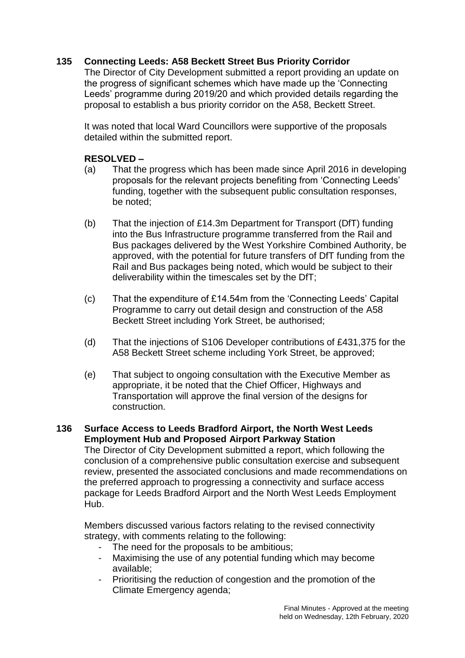# **135 Connecting Leeds: A58 Beckett Street Bus Priority Corridor**

The Director of City Development submitted a report providing an update on the progress of significant schemes which have made up the 'Connecting Leeds' programme during 2019/20 and which provided details regarding the proposal to establish a bus priority corridor on the A58, Beckett Street.

It was noted that local Ward Councillors were supportive of the proposals detailed within the submitted report.

# **RESOLVED –**

- (a) That the progress which has been made since April 2016 in developing proposals for the relevant projects benefiting from 'Connecting Leeds' funding, together with the subsequent public consultation responses, be noted;
- (b) That the injection of £14.3m Department for Transport (DfT) funding into the Bus Infrastructure programme transferred from the Rail and Bus packages delivered by the West Yorkshire Combined Authority, be approved, with the potential for future transfers of DfT funding from the Rail and Bus packages being noted, which would be subject to their deliverability within the timescales set by the DfT;
- (c) That the expenditure of £14.54m from the 'Connecting Leeds' Capital Programme to carry out detail design and construction of the A58 Beckett Street including York Street, be authorised;
- (d) That the injections of S106 Developer contributions of £431,375 for the A58 Beckett Street scheme including York Street, be approved;
- (e) That subject to ongoing consultation with the Executive Member as appropriate, it be noted that the Chief Officer, Highways and Transportation will approve the final version of the designs for construction.

# **136 Surface Access to Leeds Bradford Airport, the North West Leeds Employment Hub and Proposed Airport Parkway Station**

The Director of City Development submitted a report, which following the conclusion of a comprehensive public consultation exercise and subsequent review, presented the associated conclusions and made recommendations on the preferred approach to progressing a connectivity and surface access package for Leeds Bradford Airport and the North West Leeds Employment Hub.

Members discussed various factors relating to the revised connectivity strategy, with comments relating to the following:

- The need for the proposals to be ambitious;
- Maximising the use of any potential funding which may become available;
- Prioritising the reduction of congestion and the promotion of the Climate Emergency agenda;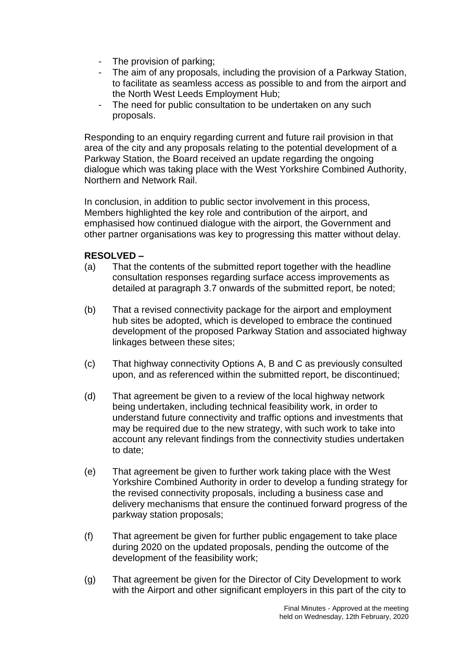- The provision of parking:
- The aim of any proposals, including the provision of a Parkway Station, to facilitate as seamless access as possible to and from the airport and the North West Leeds Employment Hub;
- The need for public consultation to be undertaken on any such proposals.

Responding to an enquiry regarding current and future rail provision in that area of the city and any proposals relating to the potential development of a Parkway Station, the Board received an update regarding the ongoing dialogue which was taking place with the West Yorkshire Combined Authority, Northern and Network Rail.

In conclusion, in addition to public sector involvement in this process, Members highlighted the key role and contribution of the airport, and emphasised how continued dialogue with the airport, the Government and other partner organisations was key to progressing this matter without delay.

- (a) That the contents of the submitted report together with the headline consultation responses regarding surface access improvements as detailed at paragraph 3.7 onwards of the submitted report, be noted;
- (b) That a revised connectivity package for the airport and employment hub sites be adopted, which is developed to embrace the continued development of the proposed Parkway Station and associated highway linkages between these sites;
- (c) That highway connectivity Options A, B and C as previously consulted upon, and as referenced within the submitted report, be discontinued;
- (d) That agreement be given to a review of the local highway network being undertaken, including technical feasibility work, in order to understand future connectivity and traffic options and investments that may be required due to the new strategy, with such work to take into account any relevant findings from the connectivity studies undertaken to date;
- (e) That agreement be given to further work taking place with the West Yorkshire Combined Authority in order to develop a funding strategy for the revised connectivity proposals, including a business case and delivery mechanisms that ensure the continued forward progress of the parkway station proposals;
- (f) That agreement be given for further public engagement to take place during 2020 on the updated proposals, pending the outcome of the development of the feasibility work;
- (g) That agreement be given for the Director of City Development to work with the Airport and other significant employers in this part of the city to